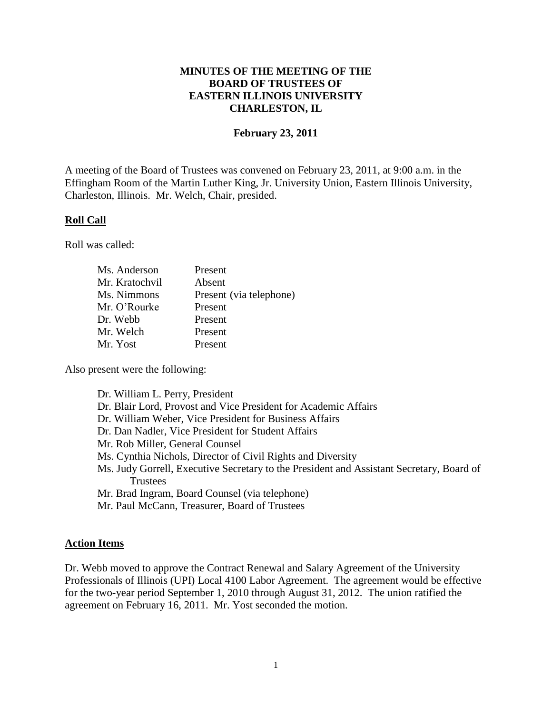### **MINUTES OF THE MEETING OF THE BOARD OF TRUSTEES OF EASTERN ILLINOIS UNIVERSITY CHARLESTON, IL**

### **February 23, 2011**

A meeting of the Board of Trustees was convened on February 23, 2011, at 9:00 a.m. in the Effingham Room of the Martin Luther King, Jr. University Union, Eastern Illinois University, Charleston, Illinois. Mr. Welch, Chair, presided.

#### **Roll Call**

Roll was called:

| Ms. Anderson   | Present                 |
|----------------|-------------------------|
| Mr. Kratochvil | Absent                  |
| Ms. Nimmons    | Present (via telephone) |
| Mr. O'Rourke   | Present                 |
| Dr. Webb       | Present                 |
| Mr. Welch      | Present                 |
| Mr. Yost       | Present                 |

Also present were the following:

Dr. William L. Perry, President Dr. Blair Lord, Provost and Vice President for Academic Affairs Dr. William Weber, Vice President for Business Affairs Dr. Dan Nadler, Vice President for Student Affairs Mr. Rob Miller, General Counsel Ms. Cynthia Nichols, Director of Civil Rights and Diversity Ms. Judy Gorrell, Executive Secretary to the President and Assistant Secretary, Board of Trustees Mr. Brad Ingram, Board Counsel (via telephone) Mr. Paul McCann, Treasurer, Board of Trustees

# **Action Items**

Dr. Webb moved to approve the Contract Renewal and Salary Agreement of the University Professionals of Illinois (UPI) Local 4100 Labor Agreement. The agreement would be effective for the two-year period September 1, 2010 through August 31, 2012. The union ratified the agreement on February 16, 2011. Mr. Yost seconded the motion.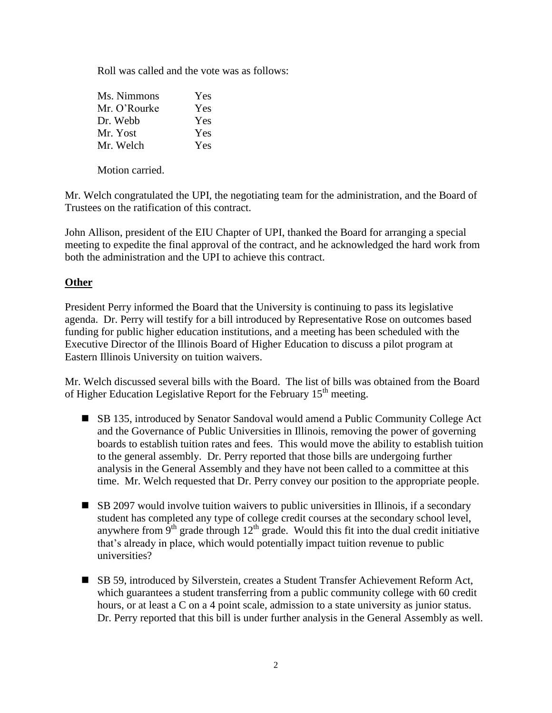Roll was called and the vote was as follows:

| Ms. Nimmons  | Yes |
|--------------|-----|
| Mr. O'Rourke | Yes |
| Dr. Webb     | Yes |
| Mr. Yost     | Yes |
| Mr. Welch    | Yes |

Motion carried.

Mr. Welch congratulated the UPI, the negotiating team for the administration, and the Board of Trustees on the ratification of this contract.

John Allison, president of the EIU Chapter of UPI, thanked the Board for arranging a special meeting to expedite the final approval of the contract, and he acknowledged the hard work from both the administration and the UPI to achieve this contract.

## **Other**

President Perry informed the Board that the University is continuing to pass its legislative agenda. Dr. Perry will testify for a bill introduced by Representative Rose on outcomes based funding for public higher education institutions, and a meeting has been scheduled with the Executive Director of the Illinois Board of Higher Education to discuss a pilot program at Eastern Illinois University on tuition waivers.

Mr. Welch discussed several bills with the Board. The list of bills was obtained from the Board of Higher Education Legislative Report for the February  $15<sup>th</sup>$  meeting.

- SB 135, introduced by Senator Sandoval would amend a Public Community College Act and the Governance of Public Universities in Illinois, removing the power of governing boards to establish tuition rates and fees. This would move the ability to establish tuition to the general assembly. Dr. Perry reported that those bills are undergoing further analysis in the General Assembly and they have not been called to a committee at this time. Mr. Welch requested that Dr. Perry convey our position to the appropriate people.
- SB 2097 would involve tuition waivers to public universities in Illinois, if a secondary student has completed any type of college credit courses at the secondary school level, anywhere from  $9<sup>th</sup>$  grade through  $12<sup>th</sup>$  grade. Would this fit into the dual credit initiative that's already in place, which would potentially impact tuition revenue to public universities?
- SB 59, introduced by Silverstein, creates a Student Transfer Achievement Reform Act, which guarantees a student transferring from a public community college with 60 credit hours, or at least a C on a 4 point scale, admission to a state university as junior status. Dr. Perry reported that this bill is under further analysis in the General Assembly as well.